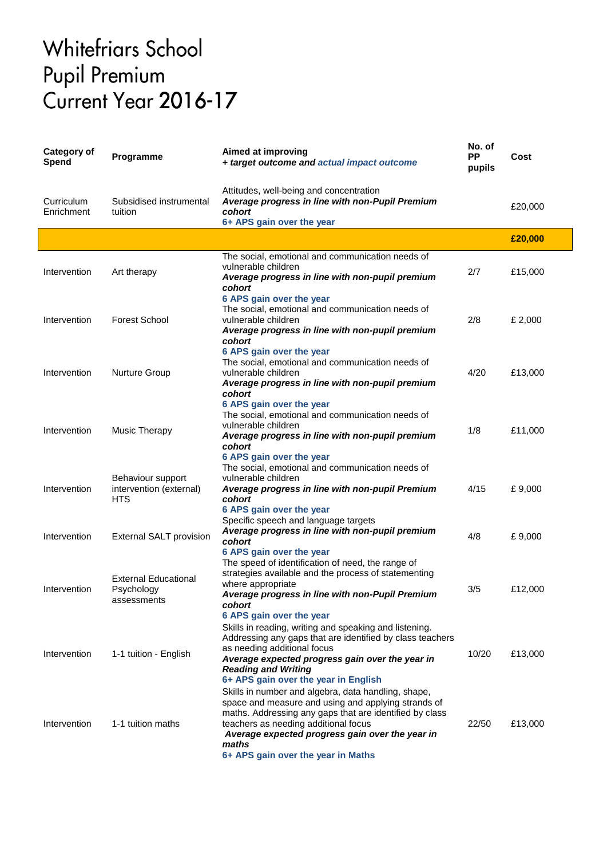## **Whitefriars School** Pupil Premium<br>Current Year 2016-17

| <b>Category of</b><br>Spend | Programme                                                  | Aimed at improving<br>+ target outcome and actual impact outcome                                                                                                                                                                                                                                                | No. of<br>PP<br>pupils | Cost    |
|-----------------------------|------------------------------------------------------------|-----------------------------------------------------------------------------------------------------------------------------------------------------------------------------------------------------------------------------------------------------------------------------------------------------------------|------------------------|---------|
| Curriculum<br>Enrichment    | Subsidised instrumental<br>tuition                         | Attitudes, well-being and concentration<br>Average progress in line with non-Pupil Premium<br>cohort<br>6+ APS gain over the year                                                                                                                                                                               |                        | £20,000 |
|                             |                                                            |                                                                                                                                                                                                                                                                                                                 |                        | £20,000 |
| Intervention                | Art therapy                                                | The social, emotional and communication needs of<br>vulnerable children<br>Average progress in line with non-pupil premium<br>cohort<br>6 APS gain over the year                                                                                                                                                | 2/7                    | £15,000 |
| Intervention                | <b>Forest School</b>                                       | The social, emotional and communication needs of<br>vulnerable children<br>Average progress in line with non-pupil premium<br>cohort                                                                                                                                                                            | 2/8                    | £ 2,000 |
| Intervention                | <b>Nurture Group</b>                                       | 6 APS gain over the year<br>The social, emotional and communication needs of<br>vulnerable children<br>Average progress in line with non-pupil premium<br>cohort                                                                                                                                                | 4/20                   | £13,000 |
| Intervention                | <b>Music Therapy</b>                                       | 6 APS gain over the year<br>The social, emotional and communication needs of<br>vulnerable children<br>Average progress in line with non-pupil premium<br>cohort<br>6 APS gain over the year                                                                                                                    | 1/8                    | £11,000 |
| Intervention                | Behaviour support<br>intervention (external)<br><b>HTS</b> | The social, emotional and communication needs of<br>vulnerable children<br>Average progress in line with non-pupil Premium<br>cohort<br>6 APS gain over the year                                                                                                                                                | 4/15                   | £9,000  |
| Intervention                | External SALT provision                                    | Specific speech and language targets<br>Average progress in line with non-pupil premium<br>cohort<br>6 APS gain over the year                                                                                                                                                                                   | 4/8                    | £9,000  |
| Intervention                | <b>External Educational</b><br>Psychology<br>assessments   | The speed of identification of need, the range of<br>strategies available and the process of statementing<br>where appropriate<br>Average progress in line with non-Pupil Premium<br>cohort<br>6 APS gain over the year                                                                                         | 3/5                    | £12,000 |
| Intervention                | 1-1 tuition - English                                      | Skills in reading, writing and speaking and listening.<br>Addressing any gaps that are identified by class teachers<br>as needing additional focus<br>Average expected progress gain over the year in<br><b>Reading and Writing</b><br>6+ APS gain over the year in English                                     | 10/20                  | £13,000 |
| Intervention                | 1-1 tuition maths                                          | Skills in number and algebra, data handling, shape,<br>space and measure and using and applying strands of<br>maths. Addressing any gaps that are identified by class<br>teachers as needing additional focus<br>Average expected progress gain over the year in<br>maths<br>6+ APS gain over the year in Maths | 22/50                  | £13,000 |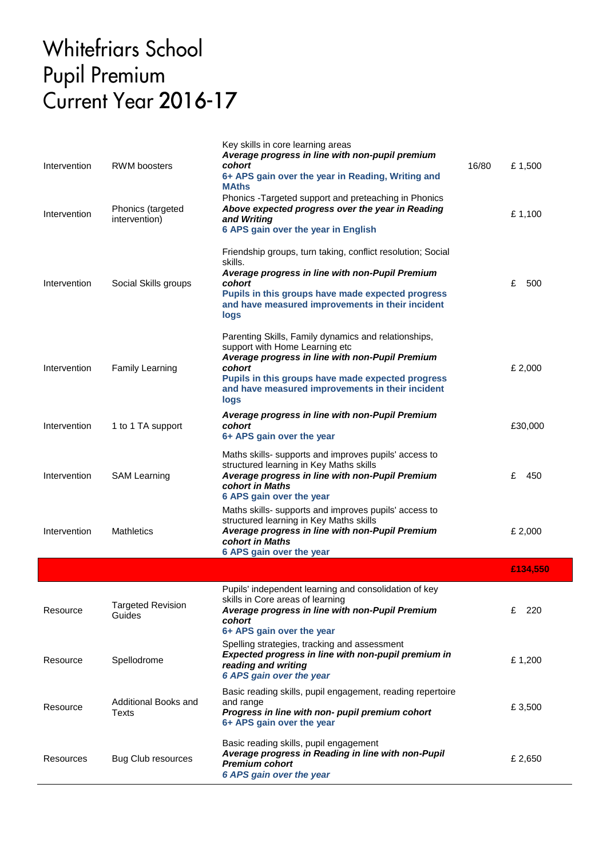## **Whitefriars School** Pupil Premium<br>Current Year 2016-17

| Intervention | <b>RWM</b> boosters                | Key skills in core learning areas<br>Average progress in line with non-pupil premium<br>cohort<br>6+ APS gain over the year in Reading, Writing and<br><b>MAths</b>                                                                                                  | 16/80<br>£1,500 |
|--------------|------------------------------------|----------------------------------------------------------------------------------------------------------------------------------------------------------------------------------------------------------------------------------------------------------------------|-----------------|
| Intervention | Phonics (targeted<br>intervention) | Phonics - Targeted support and preteaching in Phonics<br>Above expected progress over the year in Reading<br>and Writing<br>6 APS gain over the year in English                                                                                                      | £1,100          |
| Intervention | Social Skills groups               | Friendship groups, turn taking, conflict resolution; Social<br>skills.<br>Average progress in line with non-Pupil Premium<br>cohort<br>Pupils in this groups have made expected progress<br>and have measured improvements in their incident<br>logs                 | £<br>500        |
| Intervention | <b>Family Learning</b>             | Parenting Skills, Family dynamics and relationships,<br>support with Home Learning etc<br>Average progress in line with non-Pupil Premium<br>cohort<br>Pupils in this groups have made expected progress<br>and have measured improvements in their incident<br>logs | £ 2,000         |
| Intervention | 1 to 1 TA support                  | Average progress in line with non-Pupil Premium<br>cohort<br>6+ APS gain over the year                                                                                                                                                                               | £30,000         |
| Intervention | <b>SAM Learning</b>                | Maths skills- supports and improves pupils' access to<br>structured learning in Key Maths skills<br>Average progress in line with non-Pupil Premium<br>cohort in Maths<br>6 APS gain over the year                                                                   | £<br>450        |
| Intervention | <b>Mathletics</b>                  | Maths skills- supports and improves pupils' access to<br>structured learning in Key Maths skills<br>Average progress in line with non-Pupil Premium<br>cohort in Maths<br>6 APS gain over the year                                                                   | £ 2,000         |
|              |                                    |                                                                                                                                                                                                                                                                      | £134,550        |
| Resource     | <b>Targeted Revision</b><br>Guides | Pupils' independent learning and consolidation of key<br>skills in Core areas of learning<br>Average progress in line with non-Pupil Premium<br>cohort<br>6+ APS gain over the year                                                                                  | 220<br>£        |
| Resource     | Spellodrome                        | Spelling strategies, tracking and assessment<br>Expected progress in line with non-pupil premium in<br>reading and writing<br>6 APS gain over the year                                                                                                               | £1,200          |
| Resource     | Additional Books and<br>Texts      | Basic reading skills, pupil engagement, reading repertoire<br>and range<br>Progress in line with non- pupil premium cohort<br>6+ APS gain over the year                                                                                                              | £3,500          |
| Resources    | Bug Club resources                 | Basic reading skills, pupil engagement<br>Average progress in Reading in line with non-Pupil<br><b>Premium cohort</b><br>6 APS gain over the year                                                                                                                    | £ 2,650         |